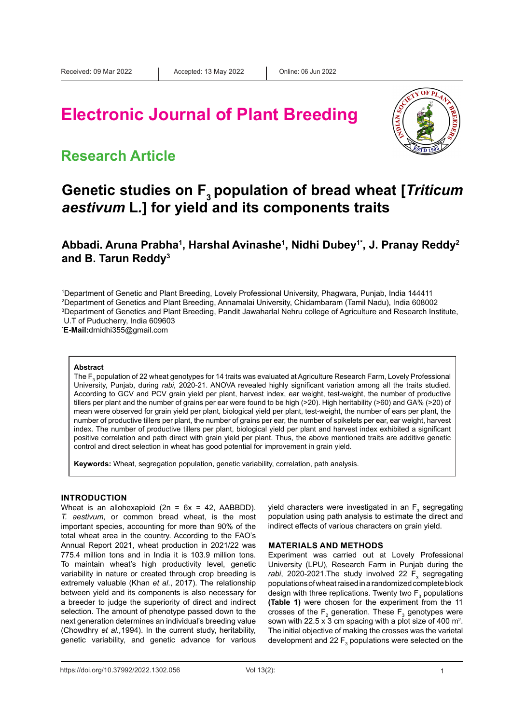# **Electronic Journal of Plant Breeding**



### **Research Article**

## **Genetic studies on F3 population of bread wheat [***Triticum aestivum* **L***.***] for yield and its components traits**

Abbadi. Aruna Prabha<sup>1</sup>, Harshal Avinashe<sup>1</sup>, Nidhi Dubey<sup>1\*</sup>, J. Pranay Reddy<sup>2</sup> **and B. Tarun Reddy3**

 Department of Genetic and Plant Breeding, Lovely Professional University, Phagwara, Punjab, India 144411 Department of Genetics and Plant Breeding, Annamalai University, Chidambaram (Tamil Nadu), India 608002 Department of Genetics and Plant Breeding, Pandit Jawaharlal Nehru college of Agriculture and Research Institute, U.T of Puducherry, India 609603

**\* E-Mail:**[drnidhi355@gmail.com](mailto:drnidhi355@gmail.com)

#### **Abstract**

The F $_{\rm 3}$  population of 22 wheat genotypes for 14 traits was evaluated at Agriculture Research Farm, Lovely Professional University, Punjab, during *rabi,* 2020-21. ANOVA revealed highly significant variation among all the traits studied. According to GCV and PCV grain yield per plant, harvest index, ear weight, test-weight, the number of productive tillers per plant and the number of grains per ear were found to be high (>20). High heritability (>60) and GA% (>20) of mean were observed for grain yield per plant, biological yield per plant, test-weight, the number of ears per plant, the number of productive tillers per plant, the number of grains per ear, the number of spikelets per ear, ear weight, harvest index. The number of productive tillers per plant, biological yield per plant and harvest index exhibited a significant positive correlation and path direct with grain yield per plant. Thus, the above mentioned traits are additive genetic control and direct selection in wheat has good potential for improvement in grain yield.

**Keywords:** Wheat, segregation population, genetic variability, correlation, path analysis.

### **INTRODUCTION**

Wheat is an allohexaploid ( $2n = 6x = 42$ , AABBDD). *T. aestivum*, or common bread wheat, is the most important species, accounting for more than 90% of the total wheat area in the country. According to the FAO's Annual Report 2021, wheat production in 2021/22 was 775.4 million tons and in India it is 103.9 million tons. To maintain wheat's high productivity level, genetic variability in nature or created through crop breeding is extremely valuable (Khan *et al*., 2017). The relationship between yield and its components is also necessary for a breeder to judge the superiority of direct and indirect selection. The amount of phenotype passed down to the next generation determines an individual's breeding value (Chowdhry *et al.,*1994). In the current study, heritability, genetic variability, and genetic advance for various

yield characters were investigated in an  $\mathsf{F}_3$  segregating population using path analysis to estimate the direct and indirect effects of various characters on grain yield.

#### **MATERIALS AND METHODS**

Experiment was carried out at Lovely Professional University (LPU), Research Farm in Punjab during the rabi, 2020-2021.The study involved 22 F<sub>3</sub> segregating populations of wheat raised in a randomized complete block design with three replications. Twenty two  $\mathsf{F}_\mathfrak{z}$  populations **(Table 1)** were chosen for the experiment from the 11 crosses of the  $F_2$  generation. These  $F_3$  genotypes were sown with 22.5 x 3 cm spacing with a plot size of 400  $m^2$ . The initial objective of making the crosses was the varietal development and 22  $F_3$  populations were selected on the

https://doi.org/10.37992/2022.1302.056 Vol 13(2): 1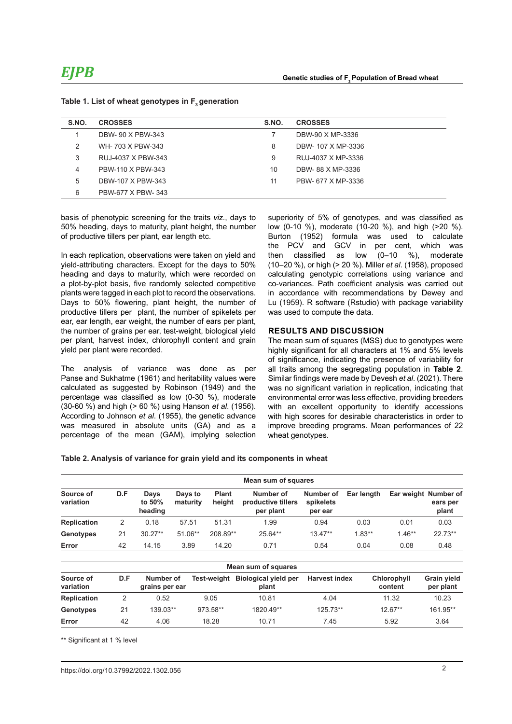| S.NO. | <b>CROSSES</b>     | S.NO. | <b>CROSSES</b>     |
|-------|--------------------|-------|--------------------|
|       | DBW-90 X PBW-343   |       | DBW-90 X MP-3336   |
| 2     | WH-703 X PBW-343   | 8     | DBW- 107 X MP-3336 |
| 3     | RUJ-4037 X PBW-343 | 9     | RUJ-4037 X MP-3336 |
| 4     | PBW-110 X PBW-343  | 10    | DBW-88 X MP-3336   |
| 5     | DBW-107 X PBW-343  | 11    | PBW- 677 X MP-3336 |
| 6     | PBW-677 X PBW-343  |       |                    |

#### Table 1. List of wheat genotypes in F<sub>2</sub> generation

basis of phenotypic screening for the traits *viz.*, days to 50% heading, days to maturity, plant height, the number of productive tillers per plant, ear length etc.

In each replication, observations were taken on yield and yield-attributing characters. Except for the days to 50% heading and days to maturity, which were recorded on a plot-by-plot basis, five randomly selected competitive plants were tagged in each plot to record the observations. Days to 50% flowering, plant height, the number of productive tillers per plant, the number of spikelets per ear, ear length, ear weight, the number of ears per plant, the number of grains per ear, test-weight, biological yield per plant, harvest index, chlorophyll content and grain yield per plant were recorded.

The analysis of variance was done as per Panse and Sukhatme (1961) and heritability values were calculated as suggested by Robinson (1949) and the percentage was classified as low (0-30 %), moderate (30-60 %) and high (> 60 %) using Hanson *et al*. (1956). According to Johnson *et al*. (1955), the genetic advance was measured in absolute units (GA) and as a percentage of the mean (GAM), implying selection

superiority of 5% of genotypes, and was classified as low (0-10 %), moderate (10-20 %), and high (>20 %). Burton (1952) formula was used to calculate the PCV and GCV in per cent, which was<br>then classified as low  $(0-10 \%)$ , moderate then classified as low (0–10 %), moderate (10–20 %), or high (> 20 %). Miller *et al*. (1958), proposed calculating genotypic correlations using variance and co-variances. Path coefficient analysis was carried out in accordance with recommendations by Dewey and Lu (1959). R software (Rstudio) with package variability was used to compute the data.

### **RESULTS AND DISCUSSION**

The mean sum of squares (MSS) due to genotypes were highly significant for all characters at 1% and 5% levels of significance, indicating the presence of variability for all traits among the segregating population in **Table 2**. Similar findings were made by Devesh *et al*. (2021). There was no significant variation in replication, indicating that environmental error was less effective, providing breeders with an excellent opportunity to identify accessions with high scores for desirable characteristics in order to improve breeding programs. Mean performances of 22 wheat genotypes.

#### **Table 2. Analysis of variance for grain yield and its components in wheat**

|                        | Mean sum of squares |                              |                     |                        |                                              |                                   |            |          |                                           |  |  |  |
|------------------------|---------------------|------------------------------|---------------------|------------------------|----------------------------------------------|-----------------------------------|------------|----------|-------------------------------------------|--|--|--|
| Source of<br>variation | D.F                 | Days<br>to $50\%$<br>heading | Days to<br>maturity | <b>Plant</b><br>heiaht | Number of<br>productive tillers<br>per plant | Number of<br>spikelets<br>per ear | Ear length |          | Ear weight Number of<br>ears per<br>plant |  |  |  |
| <b>Replication</b>     | 2                   | 0.18                         | 57.51               | 51.31                  | 1.99                                         | 0.94                              | 0.03       | 0.01     | 0.03                                      |  |  |  |
| Genotypes              | 21                  | $30.27**$                    | $51.06**$           | 208.89**               | $25.64**$                                    | $13.47**$                         | $1.83**$   | $1.46**$ | $22.73**$                                 |  |  |  |
| Error                  | 42                  | 14.15                        | 3.89                | 14.20                  | 0.71                                         | 0.54                              | 0.04       | 0.08     | 0.48                                      |  |  |  |

| Mean sum of squares    |     |                             |          |                                           |                      |                        |                                 |  |  |  |  |  |
|------------------------|-----|-----------------------------|----------|-------------------------------------------|----------------------|------------------------|---------------------------------|--|--|--|--|--|
| Source of<br>variation | D.F | Number of<br>grains per ear |          | Test-weight Biological yield per<br>plant | <b>Harvest index</b> | Chlorophyll<br>content | <b>Grain yield</b><br>per plant |  |  |  |  |  |
| <b>Replication</b>     |     | 0.52                        | 9.05     | 10.81                                     | 4.04                 | 11.32                  | 10.23                           |  |  |  |  |  |
| Genotypes              | 21  | 139.03**                    | 973.58** | 1820.49**                                 | $125.73**$           | $12.67**$              | 161.95**                        |  |  |  |  |  |
| Error                  | 42  | 4.06                        | 18.28    | 10.71                                     | 7.45                 | 5.92                   | 3.64                            |  |  |  |  |  |

\*\* Significant at 1 % level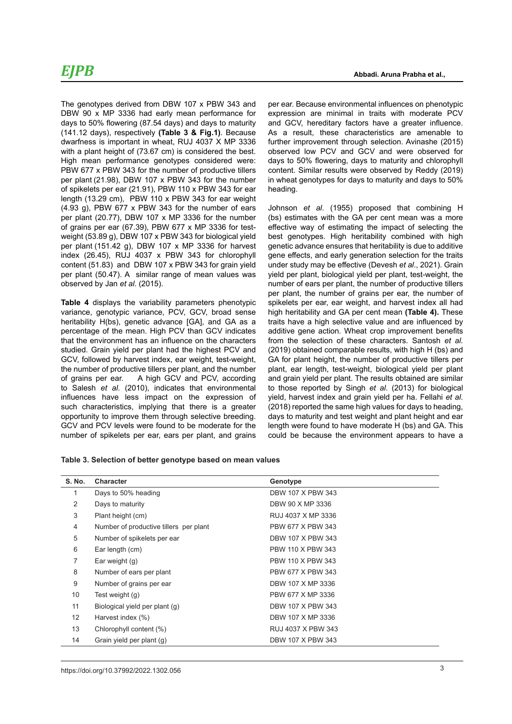The genotypes derived from DBW 107 x PBW 343 and DBW 90 x MP 3336 had early mean performance for days to 50% flowering (87.54 days) and days to maturity (141.12 days), respectively **(Table 3 & Fig.1)**. Because dwarfness is important in wheat, RUJ 4037 X MP 3336 with a plant height of (73.67 cm) is considered the best. High mean performance genotypes considered were: PBW 677 x PBW 343 for the number of productive tillers per plant (21.98), DBW 107 x PBW 343 for the number of spikelets per ear (21.91), PBW 110 x PBW 343 for ear length (13.29 cm), PBW 110 x PBW 343 for ear weight (4.93 g), PBW 677 x PBW 343 for the number of ears per plant (20.77), DBW 107 x MP 3336 for the number of grains per ear (67.39), PBW 677 x MP 3336 for testweight (53.89 g), DBW 107 x PBW 343 for biological yield per plant (151.42 g), DBW 107 x MP 3336 for harvest index (26.45), RUJ 4037 x PBW 343 for chlorophyll content (51.83) and DBW 107 x PBW 343 for grain yield per plant (50.47). A similar range of mean values was observed by Jan *et al*. (2015).

**Table 4** displays the variability parameters phenotypic variance, genotypic variance, PCV, GCV, broad sense heritability H(bs), genetic advance [GA], and GA as a percentage of the mean. High PCV than GCV indicates that the environment has an influence on the characters studied. Grain yield per plant had the highest PCV and GCV, followed by harvest index, ear weight, test-weight, the number of productive tillers per plant, and the number of grains per ear. A high GCV and PCV, according to Salesh *et al*. (2010), indicates that environmental influences have less impact on the expression of such characteristics, implying that there is a greater opportunity to improve them through selective breeding. GCV and PCV levels were found to be moderate for the number of spikelets per ear, ears per plant, and grains

per ear. Because environmental influences on phenotypic expression are minimal in traits with moderate PCV and GCV, hereditary factors have a greater influence. As a result, these characteristics are amenable to further improvement through selection. Avinashe (2015) observed low PCV and GCV and were observed for days to 50% flowering, days to maturity and chlorophyll content. Similar results were observed by Reddy (2019) in wheat genotypes for days to maturity and days to 50% heading.

Johnson *et al*. (1955) proposed that combining H (bs) estimates with the GA per cent mean was a more effective way of estimating the impact of selecting the best genotypes. High heritability combined with high genetic advance ensures that heritability is due to additive gene effects, and early generation selection for the traits under study may be effective (Devesh *et al*., 2021). Grain yield per plant, biological yield per plant, test-weight, the number of ears per plant, the number of productive tillers per plant, the number of grains per ear, the number of spikelets per ear, ear weight, and harvest index all had high heritability and GA per cent mean **(Table 4).** These traits have a high selective value and are influenced by additive gene action. Wheat crop improvement benefits from the selection of these characters. Santosh *et al.*  (2019) obtained comparable results, with high H (bs) and GA for plant height, the number of productive tillers per plant, ear length, test-weight, biological yield per plant and grain yield per plant. The results obtained are similar to those reported by Singh *et al*. (2013) for biological yield, harvest index and grain yield per ha. Fellahi *et al*. (2018) reported the same high values for days to heading, days to maturity and test weight and plant height and ear length were found to have moderate H (bs) and GA. This could be because the environment appears to have a

|  |  | Table 3. Selection of better genotype based on mean values |
|--|--|------------------------------------------------------------|
|--|--|------------------------------------------------------------|

| <b>S. No.</b> | Character                              | Genotype           |  |
|---------------|----------------------------------------|--------------------|--|
| 1             | Days to 50% heading                    | DBW 107 X PBW 343  |  |
| 2             | Days to maturity                       | DBW 90 X MP 3336   |  |
| 3             | Plant height (cm)                      | RUJ 4037 X MP 3336 |  |
| 4             | Number of productive tillers per plant | PBW 677 X PBW 343  |  |
| 5             | Number of spikelets per ear            | DBW 107 X PBW 343  |  |
| 6             | Ear length (cm)                        | PBW 110 X PBW 343  |  |
| 7             | Ear weight $(q)$                       | PBW 110 X PBW 343  |  |
| 8             | Number of ears per plant               | PBW 677 X PBW 343  |  |
| 9             | Number of grains per ear               | DBW 107 X MP 3336  |  |
| 10            | Test weight (g)                        | PBW 677 X MP 3336  |  |
| 11            | Biological yield per plant (g)         | DBW 107 X PBW 343  |  |
| 12            | Harvest index (%)                      | DBW 107 X MP 3336  |  |
| 13            | Chlorophyll content (%)                | RUJ 4037 X PBW 343 |  |
| 14            | Grain yield per plant (g)              | DBW 107 X PBW 343  |  |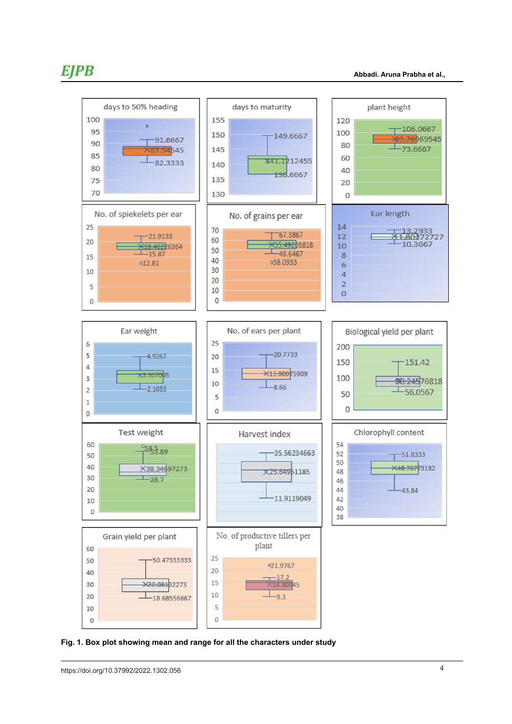

**Fig. 1. Box plot showing mean and range for all the characters under study**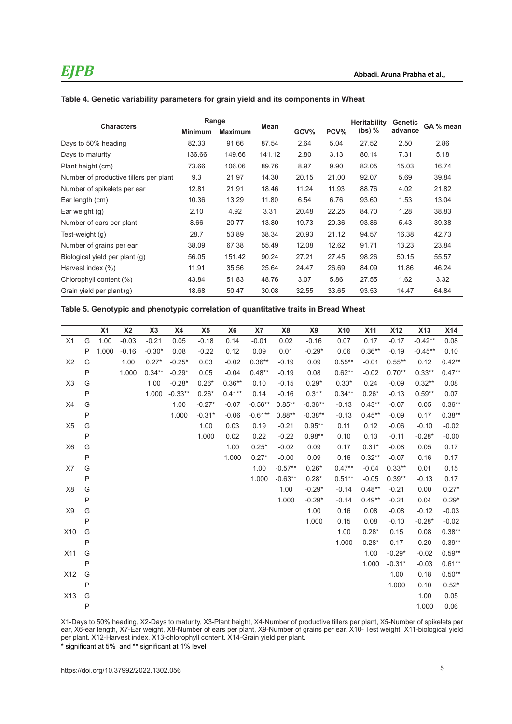| Table 4. Genetic variability parameters for grain yield and its components in Wheat |  |  |
|-------------------------------------------------------------------------------------|--|--|
|-------------------------------------------------------------------------------------|--|--|

|                                        |                | Range          |        |       |       | <b>Heritability</b> | Genetic | GA % mean |  |
|----------------------------------------|----------------|----------------|--------|-------|-------|---------------------|---------|-----------|--|
| <b>Characters</b>                      | <b>Minimum</b> | <b>Maximum</b> | Mean   | GCV%  | PCV%  | $(bs)$ %            | advance |           |  |
| Days to 50% heading                    | 82.33          | 91.66          | 87.54  | 2.64  | 5.04  | 27.52               | 2.50    | 2.86      |  |
| Days to maturity                       | 136.66         | 149.66         | 141.12 | 2.80  | 3.13  | 80.14               | 7.31    | 5.18      |  |
| Plant height (cm)                      | 73.66          | 106.06         | 89.76  | 8.97  | 9.90  | 82.05               | 15.03   | 16.74     |  |
| Number of productive tillers per plant | 9.3            | 21.97          | 14.30  | 20.15 | 21.00 | 92.07               | 5.69    | 39.84     |  |
| Number of spikelets per ear            | 12.81          | 21.91          | 18.46  | 11.24 | 11.93 | 88.76               | 4.02    | 21.82     |  |
| Ear length (cm)                        | 10.36          | 13.29          | 11.80  | 6.54  | 6.76  | 93.60               | 1.53    | 13.04     |  |
| Ear weight $(q)$                       | 2.10           | 4.92           | 3.31   | 20.48 | 22.25 | 84.70               | 1.28    | 38.83     |  |
| Number of ears per plant               | 8.66           | 20.77          | 13.80  | 19.73 | 20.36 | 93.86               | 5.43    | 39.38     |  |
| Test-weight (g)                        | 28.7           | 53.89          | 38.34  | 20.93 | 21.12 | 94.57               | 16.38   | 42.73     |  |
| Number of grains per ear               | 38.09          | 67.38          | 55.49  | 12.08 | 12.62 | 91.71               | 13.23   | 23.84     |  |
| Biological yield per plant (g)         | 56.05          | 151.42         | 90.24  | 27.21 | 27.45 | 98.26               | 50.15   | 55.57     |  |
| Harvest index (%)                      | 11.91          | 35.56          | 25.64  | 24.47 | 26.69 | 84.09               | 11.86   | 46.24     |  |
| Chlorophyll content (%)                | 43.84          | 51.83          | 48.76  | 3.07  | 5.86  | 27.55               | 1.62    | 3.32      |  |
| Grain yield per plant (g)              | 18.68          | 50.47          | 30.08  | 32.55 | 33.65 | 93.53               | 14.47   | 64.84     |  |

**Table 5. Genotypic and phenotypic correlation of quantitative traits in Bread Wheat**

|                |              | X <sub>1</sub> | X <sub>2</sub> | X3       | <b>X4</b> | X <sub>5</sub> | X <sub>6</sub> | X7        | X <sub>8</sub> | X9        | X10       | <b>X11</b> | <b>X12</b> | <b>X13</b> | <b>X14</b> |
|----------------|--------------|----------------|----------------|----------|-----------|----------------|----------------|-----------|----------------|-----------|-----------|------------|------------|------------|------------|
| X1             | G            | 1.00           | $-0.03$        | $-0.21$  | 0.05      | $-0.18$        | 0.14           | $-0.01$   | 0.02           | $-0.16$   | 0.07      | 0.17       | $-0.17$    | $-0.42**$  | 0.08       |
|                | P            | 1.000          | $-0.16$        | $-0.30*$ | 0.08      | $-0.22$        | 0.12           | 0.09      | 0.01           | $-0.29*$  | 0.06      | $0.36**$   | $-0.19$    | $-0.45**$  | 0.10       |
| X <sub>2</sub> | G            |                | 1.00           | $0.27*$  | $-0.25*$  | 0.03           | $-0.02$        | $0.36**$  | $-0.19$        | 0.09      | $0.55***$ | $-0.01$    | $0.55***$  | 0.12       | $0.42**$   |
|                | $\mathsf{P}$ |                | 1.000          | $0.34**$ | $-0.29*$  | 0.05           | $-0.04$        | $0.48**$  | $-0.19$        | 0.08      | $0.62**$  | $-0.02$    | $0.70**$   | $0.33**$   | $0.47**$   |
| X <sub>3</sub> | G            |                |                | 1.00     | $-0.28*$  | $0.26*$        | $0.36**$       | 0.10      | $-0.15$        | $0.29*$   | $0.30*$   | 0.24       | $-0.09$    | $0.32**$   | 0.08       |
|                | $\mathsf{P}$ |                |                | 1.000    | $-0.33**$ | $0.26*$        | $0.41**$       | 0.14      | $-0.16$        | $0.31*$   | $0.34**$  | $0.26*$    | $-0.13$    | $0.59**$   | 0.07       |
| X4             | G            |                |                |          | 1.00      | $-0.27*$       | $-0.07$        | $-0.56**$ | $0.85**$       | $-0.36**$ | $-0.13$   | $0.43**$   | $-0.07$    | 0.05       | $0.36**$   |
|                | $\sf P$      |                |                |          | 1.000     | $-0.31*$       | $-0.06$        | $-0.61**$ | $0.88**$       | $-0.38**$ | $-0.13$   | $0.45**$   | $-0.09$    | 0.17       | $0.38**$   |
| X <sub>5</sub> | G            |                |                |          |           | 1.00           | 0.03           | 0.19      | $-0.21$        | $0.95**$  | 0.11      | 0.12       | $-0.06$    | $-0.10$    | $-0.02$    |
|                | P            |                |                |          |           | 1.000          | 0.02           | 0.22      | $-0.22$        | $0.98**$  | 0.10      | 0.13       | $-0.11$    | $-0.28*$   | $-0.00$    |
| X <sub>6</sub> | G            |                |                |          |           |                | 1.00           | $0.25*$   | $-0.02$        | 0.09      | 0.17      | $0.31*$    | $-0.08$    | 0.05       | 0.17       |
|                | P            |                |                |          |           |                | 1.000          | $0.27*$   | $-0.00$        | 0.09      | 0.16      | $0.32**$   | $-0.07$    | 0.16       | 0.17       |
| X7             | G            |                |                |          |           |                |                | 1.00      | $-0.57**$      | $0.26*$   | $0.47**$  | $-0.04$    | $0.33**$   | 0.01       | 0.15       |
|                | P            |                |                |          |           |                |                | 1.000     | $-0.63**$      | $0.28*$   | $0.51***$ | $-0.05$    | $0.39**$   | $-0.13$    | 0.17       |
| X <sub>8</sub> | G            |                |                |          |           |                |                |           | 1.00           | $-0.29*$  | $-0.14$   | $0.48**$   | $-0.21$    | 0.00       | $0.27*$    |
|                | $\mathsf{P}$ |                |                |          |           |                |                |           | 1.000          | $-0.29*$  | $-0.14$   | $0.49**$   | $-0.21$    | 0.04       | $0.29*$    |
| X <sub>9</sub> | G            |                |                |          |           |                |                |           |                | 1.00      | 0.16      | 0.08       | $-0.08$    | $-0.12$    | $-0.03$    |
|                | P            |                |                |          |           |                |                |           |                | 1.000     | 0.15      | 0.08       | $-0.10$    | $-0.28*$   | $-0.02$    |
| X10            | G            |                |                |          |           |                |                |           |                |           | 1.00      | $0.28*$    | 0.15       | 0.08       | $0.38**$   |
|                | P            |                |                |          |           |                |                |           |                |           | 1.000     | $0.28*$    | 0.17       | 0.20       | $0.39**$   |
| X11            | G            |                |                |          |           |                |                |           |                |           |           | 1.00       | $-0.29*$   | $-0.02$    | $0.59**$   |
|                | P            |                |                |          |           |                |                |           |                |           |           | 1.000      | $-0.31*$   | $-0.03$    | $0.61**$   |
| X12            | G            |                |                |          |           |                |                |           |                |           |           |            | 1.00       | 0.18       | $0.50**$   |
|                | P            |                |                |          |           |                |                |           |                |           |           |            | 1.000      | 0.10       | $0.52*$    |
| X13            | G            |                |                |          |           |                |                |           |                |           |           |            |            | 1.00       | 0.05       |
|                | $\mathsf{P}$ |                |                |          |           |                |                |           |                |           |           |            |            | 1.000      | 0.06       |

X1-Days to 50% heading, X2-Days to maturity, X3-Plant height, X4-Number of productive tillers per plant, X5-Number of spikelets per ear, X6-ear length, X7-Ear weight, X8-Number of ears per plant, X9-Number of grains per ear, X10- Test weight, X11-biological yield per plant, X12-Harvest index, X13-chlorophyll content, X14-Grain yield per plant.

\* significant at 5% and \*\* significant at 1% level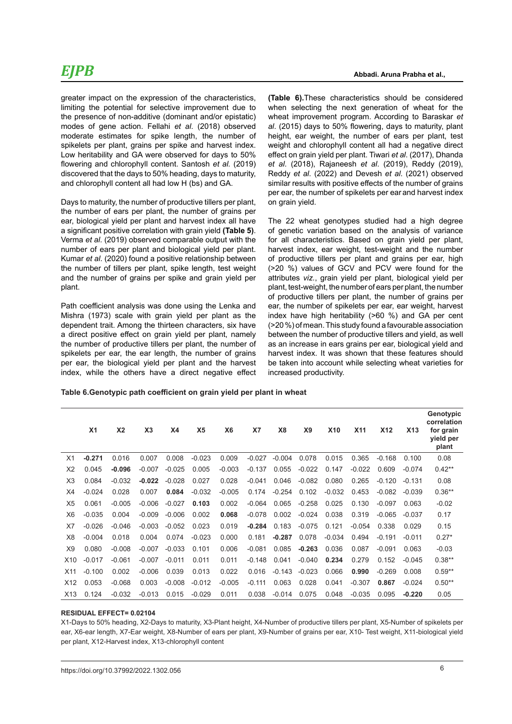# *EJPB*

greater impact on the expression of the characteristics, limiting the potential for selective improvement due to the presence of non-additive (dominant and/or epistatic) modes of gene action. Fellahi *et al*. (2018) observed moderate estimates for spike length, the number of spikelets per plant, grains per spike and harvest index. Low heritability and GA were observed for days to 50% flowering and chlorophyll content. Santosh *et al.* (2019) discovered that the days to 50% heading, days to maturity, and chlorophyll content all had low H (bs) and GA.

Days to maturity, the number of productive tillers per plant, the number of ears per plant, the number of grains per ear, biological yield per plant and harvest index all have a significant positive correlation with grain yield **(Table 5)**. Verma *et al*. (2019) observed comparable output with the number of ears per plant and biological yield per plant. Kumar *et al*. (2020) found a positive relationship between the number of tillers per plant, spike length, test weight and the number of grains per spike and grain yield per plant.

Path coefficient analysis was done using the Lenka and Mishra (1973) scale with grain yield per plant as the dependent trait. Among the thirteen characters, six have a direct positive effect on grain yield per plant, namely the number of productive tillers per plant, the number of spikelets per ear, the ear length, the number of grains per ear, the biological yield per plant and the harvest index, while the others have a direct negative effect **(Table 6).**These characteristics should be considered when selecting the next generation of wheat for the wheat improvement program. According to Baraskar *et al*. (2015) days to 50% flowering, days to maturity, plant height, ear weight, the number of ears per plant, test weight and chlorophyll content all had a negative direct effect on grain yield per plant. Tiwari *et al*. (2017), Dhanda *et al*. (2018), Rajaneesh *et al*. (2019), Reddy (2019), Reddy *et al*. (2022) and Devesh *et al*. (2021) observed similar results with positive effects of the number of grains per ear, the number of spikelets per ear and harvest index on grain yield.

The 22 wheat genotypes studied had a high degree of genetic variation based on the analysis of variance for all characteristics. Based on grain yield per plant, harvest index, ear weight, test-weight and the number of productive tillers per plant and grains per ear, high (>20 %) values of GCV and PCV were found for the attributes *viz.*, grain yield per plant, biological yield per plant, test-weight, the number of ears per plant, the number of productive tillers per plant, the number of grains per ear, the number of spikelets per ear, ear weight, harvest index have high heritability (>60 %) and GA per cent (>20 %) of mean. This study found a favourable association between the number of productive tillers and yield, as well as an increase in ears grains per ear, biological yield and harvest index. It was shown that these features should be taken into account while selecting wheat varieties for increased productivity.

**Table 6.Genotypic path coefficient on grain yield per plant in wheat**

|                 | X <sub>1</sub> | X <sub>2</sub> | X <sub>3</sub> | <b>X4</b> | X <sub>5</sub> | X <sub>6</sub> | X7       | X <sub>8</sub> | X <sub>9</sub> | <b>X10</b> | <b>X11</b> | <b>X12</b> | X <sub>13</sub> | Genotypic<br>correlation<br>for grain<br>yield per<br>plant |
|-----------------|----------------|----------------|----------------|-----------|----------------|----------------|----------|----------------|----------------|------------|------------|------------|-----------------|-------------------------------------------------------------|
| X1              | $-0.271$       | 0.016          | 0.007          | 0.008     | $-0.023$       | 0.009          | $-0.027$ | $-0.004$       | 0.078          | 0.015      | 0.365      | $-0.168$   | 0.100           | 0.08                                                        |
| X <sub>2</sub>  | 0.045          | $-0.096$       | $-0.007$       | $-0.025$  | 0.005          | $-0.003$       | $-0.137$ | 0.055          | $-0.022$       | 0.147      | $-0.022$   | 0.609      | $-0.074$        | $0.42**$                                                    |
| X3              | 0.084          | $-0.032$       | $-0.022$       | $-0.028$  | 0.027          | 0.028          | $-0.041$ | 0.046          | $-0.082$       | 0.080      | 0.265      | $-0.120$   | $-0.131$        | 0.08                                                        |
| X4              | $-0.024$       | 0.028          | 0.007          | 0.084     | $-0.032$       | $-0.005$       | 0.174    | $-0.254$       | 0.102          | $-0.032$   | 0.453      | $-0.082$   | $-0.039$        | $0.36**$                                                    |
| X <sub>5</sub>  | 0.061          | $-0.005$       | $-0.006$       | $-0.027$  | 0.103          | 0.002          | $-0.064$ | 0.065          | $-0.258$       | 0.025      | 0.130      | $-0.097$   | 0.063           | $-0.02$                                                     |
| X <sub>6</sub>  | $-0.035$       | 0.004          | $-0.009$       | $-0.006$  | 0.002          | 0.068          | $-0.078$ | 0.002          | $-0.024$       | 0.038      | 0.319      | $-0.065$   | $-0.037$        | 0.17                                                        |
| X7              | $-0.026$       | $-0.046$       | $-0.003$       | $-0.052$  | 0.023          | 0.019          | $-0.284$ | 0.183          | $-0.075$       | 0.121      | $-0.054$   | 0.338      | 0.029           | 0.15                                                        |
| X <sub>8</sub>  | $-0.004$       | 0.018          | 0.004          | 0.074     | $-0.023$       | 0.000          | 0.181    | $-0.287$       | 0.078          | $-0.034$   | 0.494      | $-0.191$   | $-0.011$        | $0.27*$                                                     |
| X <sub>9</sub>  | 0.080          | $-0.008$       | $-0.007$       | $-0.033$  | 0.101          | 0.006          | $-0.081$ | 0.085          | $-0.263$       | 0.036      | 0.087      | $-0.091$   | 0.063           | $-0.03$                                                     |
| X <sub>10</sub> | $-0.017$       | $-0.061$       | $-0.007$       | $-0.011$  | 0.011          | 0.011          | $-0.148$ | 0.041          | $-0.040$       | 0.234      | 0.279      | 0.152      | $-0.045$        | $0.38**$                                                    |
| X <sub>11</sub> | $-0.100$       | 0.002          | $-0.006$       | 0.039     | 0.013          | 0.022          | 0.016    | $-0.143$       | $-0.023$       | 0.066      | 0.990      | $-0.269$   | 0.008           | $0.59**$                                                    |
| X12             | 0.053          | $-0.068$       | 0.003          | $-0.008$  | $-0.012$       | $-0.005$       | $-0.111$ | 0.063          | 0.028          | 0.041      | $-0.307$   | 0.867      | $-0.024$        | $0.50**$                                                    |
| X <sub>13</sub> | 0.124          | $-0.032$       | $-0.013$       | 0.015     | $-0.029$       | 0.011          | 0.038    | $-0.014$       | 0.075          | 0.048      | $-0.035$   | 0.095      | $-0.220$        | 0.05                                                        |

#### **RESIDUAL EFFECT= 0.02104**

X1-Days to 50% heading, X2-Days to maturity, X3-Plant height, X4-Number of productive tillers per plant, X5-Number of spikelets per ear, X6-ear length, X7-Ear weight, X8-Number of ears per plant, X9-Number of grains per ear, X10- Test weight, X11-biological yield per plant, X12-Harvest index, X13-chlorophyll content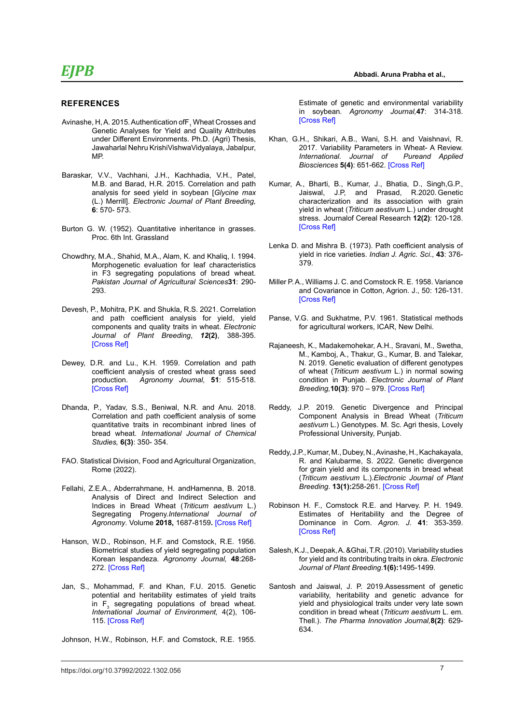- Avinashe, H, A. 2015. Authentication of ${\sf F}_{\sf i}$  Wheat Crosses and Genetic Analyses for Yield and Quality Attributes under Different Environments. Ph.D. (Agri) Thesis, Jawaharlal Nehru KrishiVishwaVidyalaya, Jabalpur, MP.
- Baraskar, V.V., Vachhani, J.H., Kachhadia, V.H., Patel, M.B. and Barad, H.R. 2015. Correlation and path analysis for seed yield in soybean [*Glycine max* (L.) Merrill]. *Electronic Journal of Plant Breeding,*  **6**: 570- 573.
- Burton G. W. (1952). Quantitative inheritance in grasses. Proc. 6th Int. Grassland
- Chowdhry, M.A., Shahid, M.A., Alam, K. and Khaliq, I. 1994. Morphogenetic evaluation for leaf characteristics in F3 segregating populations of bread wheat. *Pakistan Journal of Agricultural Sciences***31**: 290- 293.
- Devesh, P., Mohitra, P.K. and Shukla, R.S. 2021. Correlation and path coefficient analysis for yield, yield components and quality traits in wheat. *Electronic Journal of Plant Breeding*, *12***(2)**, 388-395. [\[Cross Ref\]](%20https://doi.org/10.37992/2021.1202.057)
- Dewey, D.R. and Lu., K.H. 1959. Correlation and path coefficient analysis of crested wheat grass seed production. *Agronomy Journal,* **51**: 515-518. [\[Cross Ref\]](https://doi.org/10.2134/agronj1959.00021962005100090002x)
- Dhanda, P., Yadav, S.S., Beniwal, N.R. and Anu. 2018. Correlation and path coefficient analysis of some quantitative traits in recombinant inbred lines of bread wheat. *International Journal of Chemical Studies,* **6(3)**: 350- 354.
- FAO. Statistical Division, Food and Agricultural Organization, Rome (2022).
- Fellahi, Z.E.A., Abderrahmane, H. andHamenna, B. 2018. Analysis of Direct and Indirect Selection and Indices in Bread Wheat (*Triticum aestivum* L.) Segregating Progeny.*International Journal of Agronomy*. Volume **2018,** 1687-8159**.** [\[Cross Ref\]](https://doi.org/10.1155/2018/8312857)
- Hanson, W.D., Robinson, H.F. and Comstock, R.E. 1956. Biometrical studies of yield segregating population Korean lespandeza. *Agronomy Journal,* **48**:268- 272. [\[Cross Ref\]](https://doi.org/10.2134/agronj1956.00021962004800060008x)
- Jan, S., Mohammad, F. and Khan, F.U. 2015. Genetic potential and heritability estimates of yield traits in  $F_3$  segregating populations of bread wheat. *International Journal of Environment,* 4(2), 106- 115. [[Cross Ref\]](https://doi.org/10.3126/ije.v4i2.12630)
- Johnson, H.W., Robinson, H.F. and Comstock, R.E. 1955.

 **Abbadi. Aruna Prabha et al.,**

Estimate of genetic and environmental variability in soybean*. Agronomy Journal,***47**: 314-318. [\[Cross Ref\]](https://doi.org/10.2134/agronj1955.00021962004700070009x)

- Khan, G.H., Shikari, A.B., Wani, S.H. and Vaishnavi, R. 2017. Variability Parameters in Wheat- A Review.<br>International. Journal of Pureand Applied *International.* Journal of *Biosciences* **5(4)**: 651-662. [\[Cross Ref\]](https://doi.org/10.18782/2320-7051.2638)
- Kumar, A., Bharti, B., Kumar, J., Bhatia, D., Singh,G.P., Jaiswal, J.P, and Prasad, R.2020. Genetic characterization and its association with grain yield in wheat (*Triticum aestivum* L.) under drought stress. Journalof Cereal Research **12(2)**: 120-128. [\[Cross Ref\]](https://doi.org/10.25174/2582-2675/2020/96419)
- Lenka D. and Mishra B. (1973). Path coefficient analysis of yield in rice varieties. *Indian J. Agric. Sci*., **43**: 376- 379.
- Miller P. A., Williams J. C. and Comstock R. E. 1958. Variance and Covariance in Cotton, Agrion. J., 50: 126-131. [\[Cross Ref\]](https://doi.org/10.2134/agronj1958.00021962005000030004x)
- Panse, V.G. and Sukhatme, P.V. 1961. Statistical methods for agricultural workers, ICAR, New Delhi.
- Rajaneesh, K., Madakemohekar, A.H., Sravani, M., Swetha, M., Kamboj, A., Thakur, G., Kumar, B. and Talekar, N. 2019. Genetic evaluation of different genotypes of wheat (*Triticum aestivum* L.) in normal sowing condition in Punjab. *Electronic Journal of Plant Breeding,***10(3)**: 970 – 979. [\[Cross Ref\]](https://doi.org/10.5958/0975-928X.2019.00125.X)
- Reddy, J.P. 2019. Genetic Divergence and Principal Component Analysis in Bread Wheat (*Triticum aestivum* L.) Genotypes. M. Sc. Agri thesis, Lovely Professional University, Punjab.
- Reddy, J.P., Kumar, M., Dubey, N., Avinashe, H., Kachakayala, R. and Kalubarme, S. 2022. Genetic divergence for grain yield and its components in bread wheat (*Triticum aestivum* L.).*Electronic Journal of Plant Breeding*. **13(1):**258-261. [\[Cross Ref\]](https://doi.org/10.37992/2022.1301.036)
- Robinson H. F., Comstock R.E. and Harvey. P. H. 1949. Estimates of Heritability and the Degree of Dominance in Corn. *Agron. J.* **41**: 353-359. [\[Cross Ref\]](https://doi.org/10.2134/agronj1949.00021962004100080005x)
- Salesh, K.J., Deepak, A. &Ghai, T.R. (2010). Variability studies for yield and its contributing traits in okra. *Electronic Journal of Plant Breeding*.**1(6):**1495-1499.
- Santosh and Jaiswal, J. P. 2019.Assessment of genetic variability, heritability and genetic advance for yield and physiological traits under very late sown condition in bread wheat (*Triticum aestivum* L. em. Thell.). *The Pharma Innovation Journal,***8(2)**: 629- 634.